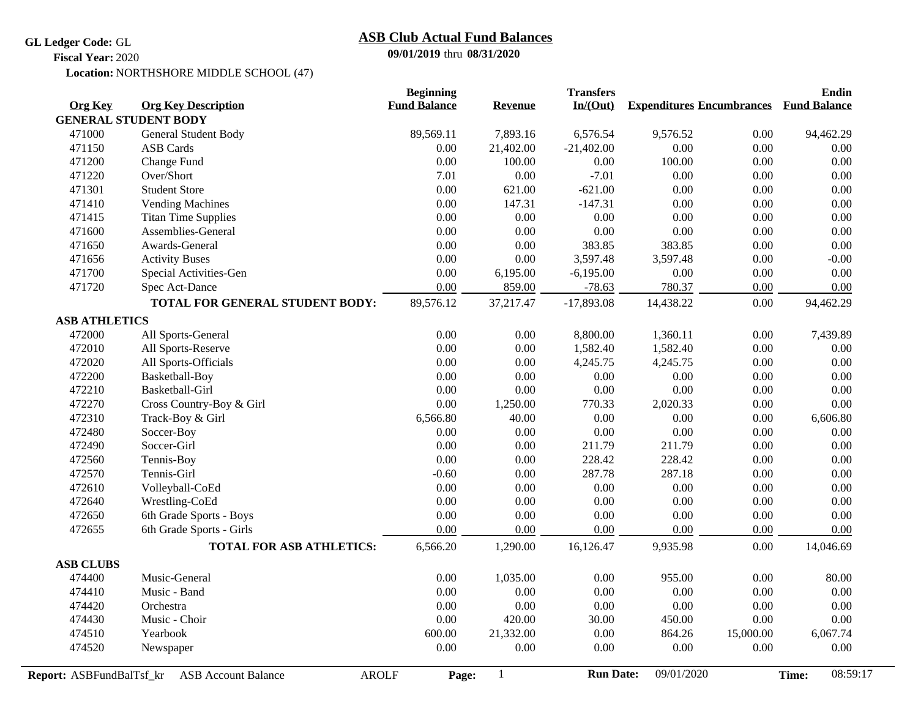**GL Ledger Code:** GL

## **09/01/2019** thru **08/31/2020 ASB Club Actual Fund Balances**

**Fiscal Year:** 2020

Location: NORTHSHORE MIDDLE SCHOOL (47)

| <b>Org Key</b>              | <b>Org Key Description</b>                 | <b>Beginning</b><br><b>Fund Balance</b> |                | <b>Transfers</b><br>In/(Out) | <b>Expenditures Encumbrances</b> |           | <b>Endin</b>        |
|-----------------------------|--------------------------------------------|-----------------------------------------|----------------|------------------------------|----------------------------------|-----------|---------------------|
| <b>GENERAL STUDENT BODY</b> |                                            |                                         | <b>Revenue</b> |                              |                                  |           | <b>Fund Balance</b> |
| 471000                      | <b>General Student Body</b>                | 89,569.11                               | 7,893.16       | 6,576.54                     | 9,576.52                         | 0.00      | 94,462.29           |
| 471150                      | <b>ASB</b> Cards                           | 0.00                                    | 21,402.00      | $-21,402.00$                 | 0.00                             | 0.00      | 0.00                |
| 471200                      | Change Fund                                | 0.00                                    | 100.00         | 0.00                         | 100.00                           | 0.00      | 0.00                |
| 471220                      | Over/Short                                 | 7.01                                    | $0.00\,$       | $-7.01$                      | 0.00                             | 0.00      | 0.00                |
| 471301                      | <b>Student Store</b>                       | $0.00\,$                                | 621.00         | $-621.00$                    | 0.00                             | 0.00      | 0.00                |
| 471410                      | <b>Vending Machines</b>                    | 0.00                                    | 147.31         | $-147.31$                    | 0.00                             | 0.00      | 0.00                |
| 471415                      | <b>Titan Time Supplies</b>                 | $0.00\,$                                | $0.00\,$       | $0.00\,$                     | 0.00                             | 0.00      | 0.00                |
| 471600                      | Assemblies-General                         | 0.00                                    | $0.00\,$       | $0.00\,$                     | 0.00                             | 0.00      | 0.00                |
| 471650                      | Awards-General                             | $0.00\,$                                | $0.00\,$       | 383.85                       | 383.85                           | 0.00      | 0.00                |
| 471656                      | <b>Activity Buses</b>                      | $0.00\,$                                | 0.00           | 3,597.48                     | 3,597.48                         | 0.00      | $-0.00$             |
| 471700                      | Special Activities-Gen                     | 0.00                                    | 6,195.00       | $-6,195.00$                  | 0.00                             | 0.00      | 0.00                |
| 471720                      | Spec Act-Dance                             | 0.00                                    | 859.00         | $-78.63$                     | 780.37                           | 0.00      | 0.00                |
|                             | TOTAL FOR GENERAL STUDENT BODY:            | 89,576.12                               | 37,217.47      | $-17,893.08$                 | 14,438.22                        | 0.00      | 94,462.29           |
| <b>ASB ATHLETICS</b>        |                                            |                                         |                |                              |                                  |           |                     |
| 472000                      | All Sports-General                         | 0.00                                    | 0.00           | 8,800.00                     | 1,360.11                         | 0.00      | 7,439.89            |
| 472010                      | All Sports-Reserve                         | 0.00                                    | 0.00           | 1,582.40                     | 1,582.40                         | 0.00      | 0.00                |
| 472020                      | All Sports-Officials                       | 0.00                                    | 0.00           | 4,245.75                     | 4,245.75                         | 0.00      | 0.00                |
| 472200                      | Basketball-Boy                             | 0.00                                    | 0.00           | 0.00                         | 0.00                             | 0.00      | 0.00                |
| 472210                      | Basketball-Girl                            | 0.00                                    | 0.00           | 0.00                         | 0.00                             | 0.00      | 0.00                |
| 472270                      | Cross Country-Boy & Girl                   | 0.00                                    | 1,250.00       | 770.33                       | 2,020.33                         | 0.00      | 0.00                |
| 472310                      | Track-Boy & Girl                           | 6,566.80                                | 40.00          | $0.00\,$                     | 0.00                             | 0.00      | 6,606.80            |
| 472480                      | Soccer-Boy                                 | $0.00\,$                                | $0.00\,$       | $0.00\,$                     | 0.00                             | 0.00      | 0.00                |
| 472490                      | Soccer-Girl                                | 0.00                                    | $0.00\,$       | 211.79                       | 211.79                           | 0.00      | 0.00                |
| 472560                      | Tennis-Boy                                 | $0.00\,$                                | $0.00\,$       | 228.42                       | 228.42                           | 0.00      | 0.00                |
| 472570                      | Tennis-Girl                                | $-0.60$                                 | $0.00\,$       | 287.78                       | 287.18                           | 0.00      | 0.00                |
| 472610                      | Volleyball-CoEd                            | 0.00                                    | 0.00           | 0.00                         | 0.00                             | 0.00      | 0.00                |
| 472640                      | Wrestling-CoEd                             | $0.00\,$                                | $0.00\,$       | $0.00\,$                     | 0.00                             | 0.00      | 0.00                |
| 472650                      | 6th Grade Sports - Boys                    | $0.00\,$                                | 0.00           | 0.00                         | 0.00                             | 0.00      | 0.00                |
| 472655                      | 6th Grade Sports - Girls                   | 0.00                                    | 0.00           | 0.00                         | 0.00                             | 0.00      | 0.00                |
|                             | <b>TOTAL FOR ASB ATHLETICS:</b>            | 6,566.20                                | 1,290.00       | 16,126.47                    | 9,935.98                         | 0.00      | 14,046.69           |
| <b>ASB CLUBS</b>            |                                            |                                         |                |                              |                                  |           |                     |
| 474400                      | Music-General                              | 0.00                                    | 1,035.00       | 0.00                         | 955.00                           | 0.00      | 80.00               |
| 474410                      | Music - Band                               | 0.00                                    | 0.00           | 0.00                         | 0.00                             | 0.00      | 0.00                |
| 474420                      | Orchestra                                  | $0.00\,$                                | $0.00\,$       | 0.00                         | 0.00                             | 0.00      | 0.00                |
| 474430                      | Music - Choir                              | $0.00\,$                                | 420.00         | 30.00                        | 450.00                           | 0.00      | 0.00                |
| 474510                      | Yearbook                                   | 600.00                                  | 21,332.00      | 0.00                         | 864.26                           | 15,000.00 | 6,067.74            |
| 474520                      | Newspaper                                  | 0.00                                    | $0.00\,$       | 0.00                         | 0.00                             | 0.00      | 0.00                |
| Report: ASBFundBalTsf_kr    | <b>AROLF</b><br><b>ASB Account Balance</b> | Page:                                   | $\mathbf{1}$   | <b>Run Date:</b>             | 09/01/2020                       |           | 08:59:17<br>Time:   |